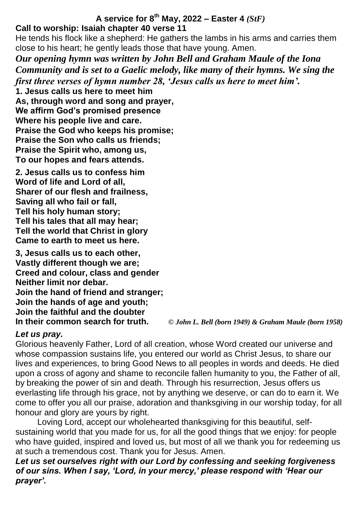# **A service for 8 th May, 2022 – Easter 4** *(StF)*

# **Call to worship: Isaiah chapter 40 verse 11**

He tends his flock like a shepherd: He gathers the lambs in his arms and carries them close to his heart; he gently leads those that have young. Amen.

*Our opening hymn was written by John Bell and Graham Maule of the Iona Community and is set to a Gaelic melody, like many of their hymns. We sing the first three verses of hymn number 28, 'Jesus calls us here to meet him'.*

**1. Jesus calls us here to meet him As, through word and song and prayer, We affirm God's promised presence Where his people live and care. Praise the God who keeps his promise; Praise the Son who calls us friends; Praise the Spirit who, among us, To our hopes and fears attends.**

**2. Jesus calls us to confess him Word of life and Lord of all, Sharer of our flesh and frailness, Saving all who fail or fall, Tell his holy human story; Tell his tales that all may hear; Tell the world that Christ in glory Came to earth to meet us here.**

**3, Jesus calls us to each other, Vastly different though we are; Creed and colour, class and gender Neither limit nor debar. Join the hand of friend and stranger; Join the hands of age and youth; Join the faithful and the doubter**

**In their common search for truth.** *© John L. Bell (born 1949) & Graham Maule (born 1958)*

## *Let us pray.*

Glorious heavenly Father, Lord of all creation, whose Word created our universe and whose compassion sustains life, you entered our world as Christ Jesus, to share our lives and experiences, to bring Good News to all peoples in words and deeds. He died upon a cross of agony and shame to reconcile fallen humanity to you, the Father of all, by breaking the power of sin and death. Through his resurrection, Jesus offers us everlasting life through his grace, not by anything we deserve, or can do to earn it. We come to offer you all our praise, adoration and thanksgiving in our worship today, for all honour and glory are yours by right.

Loving Lord, accept our wholehearted thanksgiving for this beautiful, selfsustaining world that you made for us, for all the good things that we enjoy: for people who have guided, inspired and loved us, but most of all we thank you for redeeming us at such a tremendous cost. Thank you for Jesus. Amen.

*Let us set ourselves right with our Lord by confessing and seeking forgiveness of our sins. When I say, 'Lord, in your mercy,' please respond with 'Hear our prayer'.*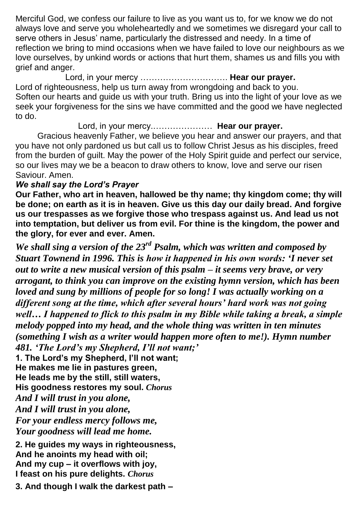Merciful God, we confess our failure to live as you want us to, for we know we do not always love and serve you wholeheartedly and we sometimes we disregard your call to serve others in Jesus' name, particularly the distressed and needy. In a time of reflection we bring to mind occasions when we have failed to love our neighbours as we love ourselves, by unkind words or actions that hurt them, shames us and fills you with grief and anger.

Lord, in your mercy …………………………. **Hear our prayer.** Lord of righteousness, help us turn away from wrongdoing and back to you. Soften our hearts and guide us with your truth. Bring us into the light of your love as we seek your forgiveness for the sins we have committed and the good we have neglected to do.

Lord, in your mercy.………………… **Hear our prayer.**

Gracious heavenly Father, we believe you hear and answer our prayers, and that you have not only pardoned us but call us to follow Christ Jesus as his disciples, freed from the burden of guilt. May the power of the Holy Spirit guide and perfect our service, so our lives may we be a beacon to draw others to know, love and serve our risen Saviour. Amen.

### *We shall say the Lord's Prayer*

**Our Father, who art in heaven, hallowed be thy name; thy kingdom come; thy will be done; on earth as it is in heaven. Give us this day our daily bread. And forgive us our trespasses as we forgive those who trespass against us. And lead us not into temptation, but deliver us from evil. For thine is the kingdom, the power and the glory, for ever and ever. Amen.**

*We shall sing a version of the 23rd Psalm, which was written and composed by Stuart Townend in 1996. This is how it happened in his own words: 'I never set out to write a new musical version of this psalm – it seems very brave, or very arrogant, to think you can improve on the existing hymn version, which has been loved and sung by millions of people for so long! I was actually working on a different song at the time, which after several hours' hard work was not going well… I happened to flick to this psalm in my Bible while taking a break, a simple melody popped into my head, and the whole thing was written in ten minutes (something I wish as a writer would happen more often to me!). Hymn number 481. 'The Lord's my Shepherd, I'll not want;'*

**1. The Lord's my Shepherd, I'll not want; He makes me lie in pastures green, He leads me by the still, still waters, His goodness restores my soul.** *Chorus And I will trust in you alone, And I will trust in you alone, For your endless mercy follows me, Your goodness will lead me home.*

**2. He guides my ways in righteousness, And he anoints my head with oil; And my cup – it overflows with joy, I feast on his pure delights.** *Chorus*

**3. And though I walk the darkest path –**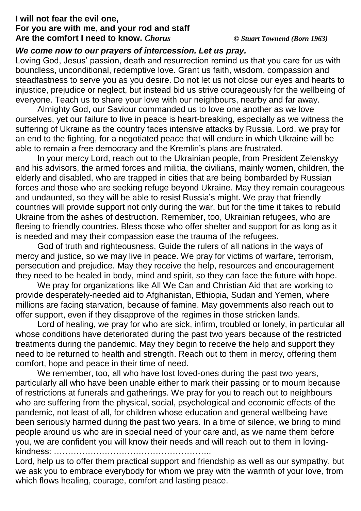#### **I will not fear the evil one, For you are with me, and your rod and staff Are the comfort I need to know.** *Chorus © Stuart Townend (Born 1963)*

#### *We come now to our prayers of intercession. Let us pray.*

Loving God, Jesus' passion, death and resurrection remind us that you care for us with boundless, unconditional, redemptive love. Grant us faith, wisdom, compassion and steadfastness to serve you as you desire. Do not let us not close our eyes and hearts to injustice, prejudice or neglect, but instead bid us strive courageously for the wellbeing of everyone. Teach us to share your love with our neighbours, nearby and far away.

Almighty God, our Saviour commanded us to love one another as we love ourselves, yet our failure to live in peace is heart-breaking, especially as we witness the suffering of Ukraine as the country faces intensive attacks by Russia. Lord, we pray for an end to the fighting, for a negotiated peace that will endure in which Ukraine will be able to remain a free democracy and the Kremlin's plans are frustrated.

In your mercy Lord, reach out to the Ukrainian people, from President Zelenskyy and his advisors, the armed forces and militia, the civilians, mainly women, children, the elderly and disabled, who are trapped in cities that are being bombarded by Russian forces and those who are seeking refuge beyond Ukraine. May they remain courageous and undaunted, so they will be able to resist Russia's might. We pray that friendly countries will provide support not only during the war, but for the time it takes to rebuild Ukraine from the ashes of destruction. Remember, too, Ukrainian refugees, who are fleeing to friendly countries. Bless those who offer shelter and support for as long as it is needed and may their compassion ease the trauma of the refugees.

God of truth and righteousness, Guide the rulers of all nations in the ways of mercy and justice, so we may live in peace. We pray for victims of warfare, terrorism, persecution and prejudice. May they receive the help, resources and encouragement they need to be healed in body, mind and spirit, so they can face the future with hope.

We pray for organizations like All We Can and Christian Aid that are working to provide desperately-needed aid to Afghanistan, Ethiopia, Sudan and Yemen, where millions are facing starvation, because of famine. May governments also reach out to offer support, even if they disapprove of the regimes in those stricken lands.

Lord of healing, we pray for who are sick, infirm, troubled or lonely, in particular all whose conditions have deteriorated during the past two years because of the restricted treatments during the pandemic. May they begin to receive the help and support they need to be returned to health and strength. Reach out to them in mercy, offering them comfort, hope and peace in their time of need.

We remember, too, all who have lost loved-ones during the past two years, particularly all who have been unable either to mark their passing or to mourn because of restrictions at funerals and gatherings. We pray for you to reach out to neighbours who are suffering from the physical, social, psychological and economic effects of the pandemic, not least of all, for children whose education and general wellbeing have been seriously harmed during the past two years. In a time of silence, we bring to mind people around us who are in special need of your care and, as we name them before you, we are confident you will know their needs and will reach out to them in lovingkindness: ………………………………………………..

Lord, help us to offer them practical support and friendship as well as our sympathy, but we ask you to embrace everybody for whom we pray with the warmth of your love, from which flows healing, courage, comfort and lasting peace.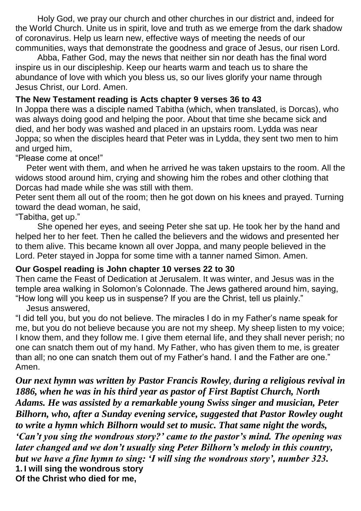Holy God, we pray our church and other churches in our district and, indeed for the World Church. Unite us in spirit, love and truth as we emerge from the dark shadow of coronavirus. Help us learn new, effective ways of meeting the needs of our communities, ways that demonstrate the goodness and grace of Jesus, our risen Lord.

Abba, Father God, may the news that neither sin nor death has the final word inspire us in our discipleship. Keep our hearts warm and teach us to share the abundance of love with which you bless us, so our lives glorify your name through Jesus Christ, our Lord. Amen.

#### **The New Testament reading is Acts chapter 9 verses 36 to 43**

In Joppa there was a disciple named Tabitha (which, when translated, is Dorcas), who was always doing good and helping the poor. About that time she became sick and died, and her body was washed and placed in an upstairs room. Lydda was near Joppa; so when the disciples heard that Peter was in Lydda, they sent two men to him and urged him,

#### "Please come at once!"

Peter went with them, and when he arrived he was taken upstairs to the room. All the widows stood around him, crying and showing him the robes and other clothing that Dorcas had made while she was still with them.

Peter sent them all out of the room; then he got down on his knees and prayed. Turning toward the dead woman, he said,

"Tabitha, get up."

She opened her eyes, and seeing Peter she sat up. He took her by the hand and helped her to her feet. Then he called the believers and the widows and presented her to them alive. This became known all over Joppa, and many people believed in the Lord. Peter stayed in Joppa for some time with a tanner named Simon. Amen.

#### **Our Gospel reading is John chapter 10 verses 22 to 30**

Then came the Feast of Dedication at Jerusalem. It was winter, and Jesus was in the temple area walking in Solomon's Colonnade. The Jews gathered around him, saying, "How long will you keep us in suspense? If you are the Christ, tell us plainly."

Jesus answered,

"I did tell you, but you do not believe. The miracles I do in my Father's name speak for me, but you do not believe because you are not my sheep. My sheep listen to my voice; I know them, and they follow me. I give them eternal life, and they shall never perish; no one can snatch them out of my hand. My Father, who has given them to me, is greater than all; no one can snatch them out of my Father's hand. I and the Father are one." Amen.

*Our next hymn was written by Pastor Francis Rowley, during a religious revival in 1886, when he was in his third year as pastor of First Baptist Church, North Adams. He was assisted by a remarkable young Swiss singer and musician, Peter Bilhorn, who, after a Sunday evening service, suggested that Pastor Rowley ought to write a hymn which Bilhorn would set to music. That same night the words, 'Can't you sing the wondrous story?' came to the pastor's mind. The opening was later changed and we don't usually sing Peter Bilhorn's melody in this country, but we have a fine hymn to sing: 'I will sing the wondrous story', number 323.* **1. I will sing the wondrous story Of the Christ who died for me,**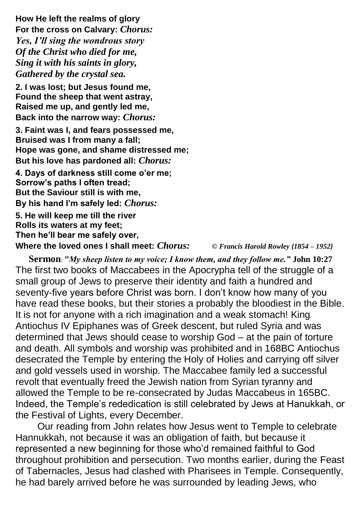**How He left the realms of glory For the cross on Calvary:** *Chorus: Yes, I'll sing the wondrous story Of the Christ who died for me, Sing it with his saints in glory, Gathered by the crystal sea.*

**2. I was lost; but Jesus found me, Found the sheep that went astray, Raised me up, and gently led me, Back into the narrow way:** *Chorus:*

**3. Faint was I, and fears possessed me, Bruised was I from many a fall; Hope was gone, and shame distressed me; But his love has pardoned all:** *Chorus:* **4. Days of darkness still come o'er me; Sorrow's paths I often tread; But the Saviour still is with me, By his hand I'm safely led:** *Chorus:* **5. He will keep me till the river Rolls its waters at my feet; Then he'll bear me safely over, Where the loved ones I shall meet:** *Chorus: © Francis Harold Rowley {1854 – 1952}*

**Sermon: "***My sheep listen to my voice; I know them, and they follow me."* **John 10:27** The first two books of Maccabees in the Apocrypha tell of the struggle of a small group of Jews to preserve their identity and faith a hundred and seventy-five years before Christ was born. I don't know how many of you have read these books, but their stories a probably the bloodiest in the Bible. It is not for anyone with a rich imagination and a weak stomach! King Antiochus IV Epiphanes was of Greek descent, but ruled Syria and was determined that Jews should cease to worship God – at the pain of torture and death. All symbols and worship was prohibited and in 168BC Antiochus desecrated the Temple by entering the Holy of Holies and carrying off silver and gold vessels used in worship. The Maccabee family led a successful revolt that eventually freed the Jewish nation from Syrian tyranny and allowed the Temple to be re-consecrated by Judas Maccabeus in 165BC. Indeed, the Temple's rededication is still celebrated by Jews at Hanukkah, or the Festival of Lights, every December.

Our reading from John relates how Jesus went to Temple to celebrate Hannukkah, not because it was an obligation of faith, but because it represented a new beginning for those who'd remained faithful to God throughout prohibition and persecution. Two months earlier, during the Feast of Tabernacles, Jesus had clashed with Pharisees in Temple. Consequently, he had barely arrived before he was surrounded by leading Jews, who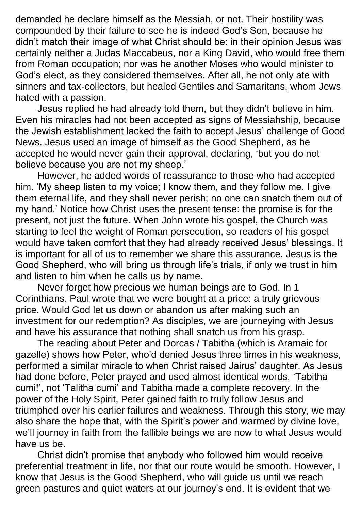demanded he declare himself as the Messiah, or not. Their hostility was compounded by their failure to see he is indeed God's Son, because he didn't match their image of what Christ should be: in their opinion Jesus was certainly neither a Judas Maccabeus, nor a King David, who would free them from Roman occupation; nor was he another Moses who would minister to God's elect, as they considered themselves. After all, he not only ate with sinners and tax-collectors, but healed Gentiles and Samaritans, whom Jews hated with a passion.

Jesus replied he had already told them, but they didn't believe in him. Even his miracles had not been accepted as signs of Messiahship, because the Jewish establishment lacked the faith to accept Jesus' challenge of Good News. Jesus used an image of himself as the Good Shepherd, as he accepted he would never gain their approval, declaring, 'but you do not believe because you are not my sheep.'

However, he added words of reassurance to those who had accepted him. 'My sheep listen to my voice; I know them, and they follow me. I give them eternal life, and they shall never perish; no one can snatch them out of my hand.' Notice how Christ uses the present tense: the promise is for the present, not just the future. When John wrote his gospel, the Church was starting to feel the weight of Roman persecution, so readers of his gospel would have taken comfort that they had already received Jesus' blessings. It is important for all of us to remember we share this assurance. Jesus is the Good Shepherd, who will bring us through life's trials, if only we trust in him and listen to him when he calls us by name.

Never forget how precious we human beings are to God. In 1 Corinthians, Paul wrote that we were bought at a price: a truly grievous price. Would God let us down or abandon us after making such an investment for our redemption? As disciples, we are journeying with Jesus and have his assurance that nothing shall snatch us from his grasp.

The reading about Peter and Dorcas / Tabitha (which is Aramaic for gazelle) shows how Peter, who'd denied Jesus three times in his weakness, performed a similar miracle to when Christ raised Jairus' daughter. As Jesus had done before, Peter prayed and used almost identical words, 'Tabitha cumi!', not 'Talitha cumi' and Tabitha made a complete recovery. In the power of the Holy Spirit, Peter gained faith to truly follow Jesus and triumphed over his earlier failures and weakness. Through this story, we may also share the hope that, with the Spirit's power and warmed by divine love, we'll journey in faith from the fallible beings we are now to what Jesus would have us be.

Christ didn't promise that anybody who followed him would receive preferential treatment in life, nor that our route would be smooth. However, I know that Jesus is the Good Shepherd, who will guide us until we reach green pastures and quiet waters at our journey's end. It is evident that we